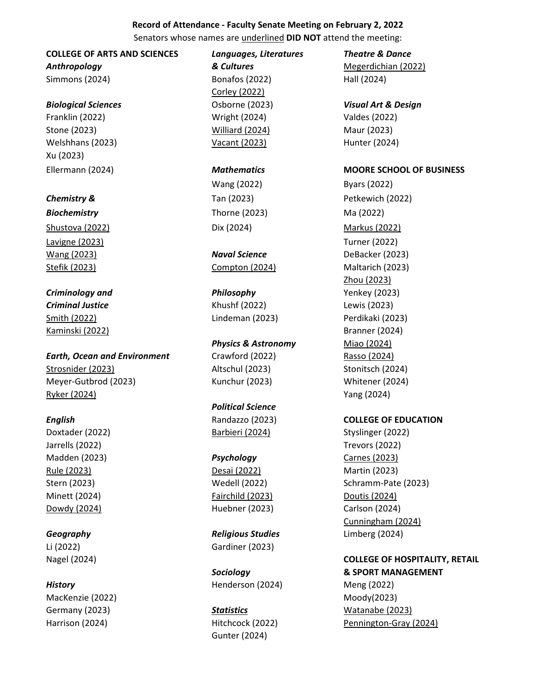# **Record of Attendance - Faculty Senate Meeting on February 2, 2022**

Senators whose names are underlined **DID NOT** attend the meeting:

# **COLLEGE OF ARTS AND SCIENCES** *Languages, Literatures Theatre & Dance*

Simmons (2024) Bonafos (2022) Hall (2024)

## *Biological Sciences* Osborne (2023) *Visual Art & Design*

Franklin (2022) Wright (2024) Valdes (2022) Stone (2023) Williard (2024) Maur (2023) Welshhans (2023) **Vacant (2023)** Hunter (2024) Xu (2023)

*Biochemistry* Thorne (2023) Ma (2022) Shustova (2022) **Dix (2024)** Dix (2024) **Markus (2022)** Lavigne (2023) Turner (2022)

*Criminology and Philosophy* Yenkey (2023) *Criminal Justice* Khushf (2022) Lewis (2023) Smith (2022) Lindeman (2023) Perdikaki (2023) Kaminski (2022) Branner (2024)

*Earth, Ocean and Environment* Crawford (2022) Rasso (2024) Strosnider (2023) Altschul (2023) Stonitsch (2024) Meyer-Gutbrod (2023) Kunchur (2023) Whitener (2024) Ryker (2024) Yang (2024)

Jarrells (2022) Trevors (2022) Madden (2023) *Psychology* Carnes (2023) Rule (2023) Desai (2022) Martin (2023) Minett (2024) Fairchild (2023) Doutis (2024) Dowdy (2024) Huebner (2023) Carlson (2024)

MacKenzie (2022) Moody(2023)

Corley (2022)

# **Physics & Astronomy** Miao (2024)

# *Political Science*

*Geography Religious Studies* Limberg (2024) Li (2022) Gardiner (2023)

**History Henderson (2024)** Meng (2022)

# Gunter (2024)

*Anthropology & Cultures* Megerdichian (2022)

# Ellermann (2024) *Mathematics* **MOORE SCHOOL OF BUSINESS**

Wang (2022) Byars (2022) *Chemistry &* Tan (2023) Petkewich (2022) Wang (2023) *Naval Science* DeBacker (2023) Stefik (2023) Compton (2024) Maltarich (2023) Zhou (2023)

## *English* Randazzo (2023) **COLLEGE OF EDUCATION**

Doxtader (2022) Barbieri (2024) Styslinger (2022) Stern (2023) Wedell (2022) Schramm-Pate (2023) Cunningham (2024)

# Nagel (2024) **COLLEGE OF HOSPITALITY, RETAIL** *Sociology* **& SPORT MANAGEMENT**

Germany (2023) *Statistics* Watanabe (2023) Harrison (2024) **Hitchcock (2022)** Pennington-Gray (2024)